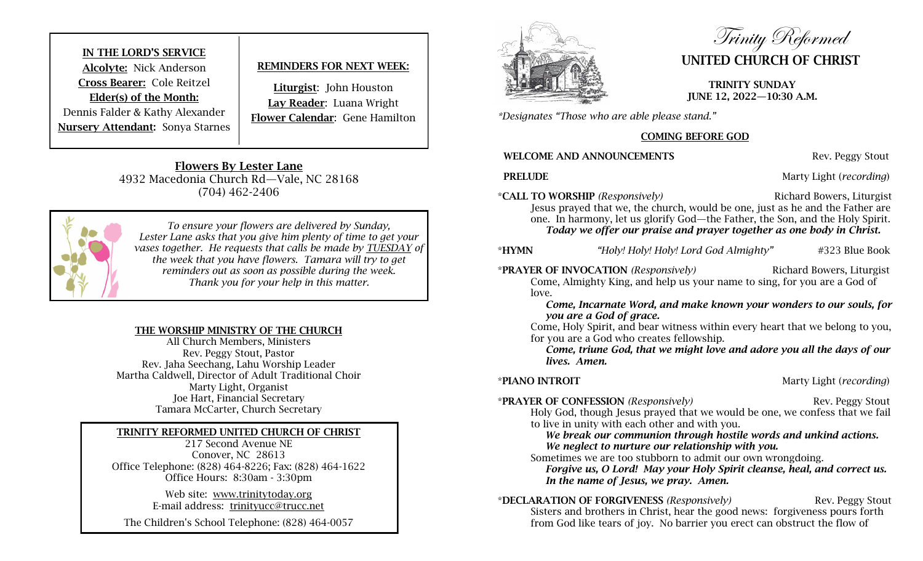# **IN THE LORD'S SERVICE Alcolyte:** Nick Anderson **Cross Bearer:** Cole Reitzel **Elder(s) of the Month:** Dennis Falder & Kathy Alexander **Nursery Attendant:** Sonya Starnes

# **REMINDERS FOR NEXT WEEK:**

**Liturgist**: John Houston **Lay Reader**: Luana Wright **Flower Calendar**: Gene Hamilton

**Flowers By Lester Lane** 4932 Macedonia Church Rd—Vale, NC 28168 (704) 462-2406



*To ensure your flowers are delivered by Sunday, Lester Lane asks that you give him plenty of time to get your vases together. He requests that calls be made by TUESDAY of the week that you have flowers. Tamara will try to get reminders out as soon as possible during the week. Thank you for your help in this matter.*

### **THE WORSHIP MINISTRY OF THE CHURCH**

All Church Members, Ministers Rev. Peggy Stout, Pastor Rev. Jaha Seechang, Lahu Worship Leader Martha Caldwell, Director of Adult Traditional Choir Marty Light, Organist Joe Hart, Financial Secretary Tamara McCarter, Church Secretary

### **TRINITY REFORMED UNITED CHURCH OF CHRIST**

217 Second Avenue NE Conover, NC 28613 Office Telephone: (828) 464-8226; Fax: (828) 464-1622 Office Hours: 8:30am - 3:30pm

> Web site: www.trinitytoday.org E-mail address: trinityucc@trucc.net

The Children's School Telephone: (828) 464-0057



Trinity Reformed **UNITED CHURCH OF CHRIST**

**TRINITY SUNDAY JUNE 12, 2022—10:30 A.M.**

*\*Designates "Those who are able please stand."*

### **COMING BEFORE GOD**

**WELCOME AND ANNOUNCEMENTS** Rev. Peggy Stout

**PRELUDE Marty Light (***recording***)** 

\***CALL TO WORSHIP** *(Responsively)* Richard Bowers, Liturgist Jesus prayed that we, the church, would be one, just as he and the Father are one. In harmony, let us glorify God—the Father, the Son, and the Holy Spirit. *Today we offer our praise and prayer together as one body in Christ.*

\***PRAYER OF INVOCATION** *(Responsively)* Richard Bowers, Liturgist Come, Almighty King, and help us your name to sing, for you are a God of love.

 *Come, Incarnate Word, and make known your wonders to our souls, for you are a God of grace.*

Come, Holy Spirit, and bear witness within every heart that we belong to you, for you are a God who creates fellowship.

 *Come, triune God, that we might love and adore you all the days of our lives. Amen.*

\***PIANO INTROIT** Marty Light (*recording*)

\***PRAYER OF CONFESSION** *(Responsively)* Rev. Peggy Stout Holy God, though Jesus prayed that we would be one, we confess that we fail

to live in unity with each other and with you.

 *We break our communion through hostile words and unkind actions. We neglect to nurture our relationship with you.*

Sometimes we are too stubborn to admit our own wrongdoing.

 *Forgive us, O Lord! May your Holy Spirit cleanse, heal, and correct us. In the name of Jesus, we pray. Amen.*

\***DECLARATION OF FORGIVENESS** *(Responsively)* Rev. Peggy Stout Sisters and brothers in Christ, hear the good news: forgiveness pours forth from God like tears of joy. No barrier you erect can obstruct the flow of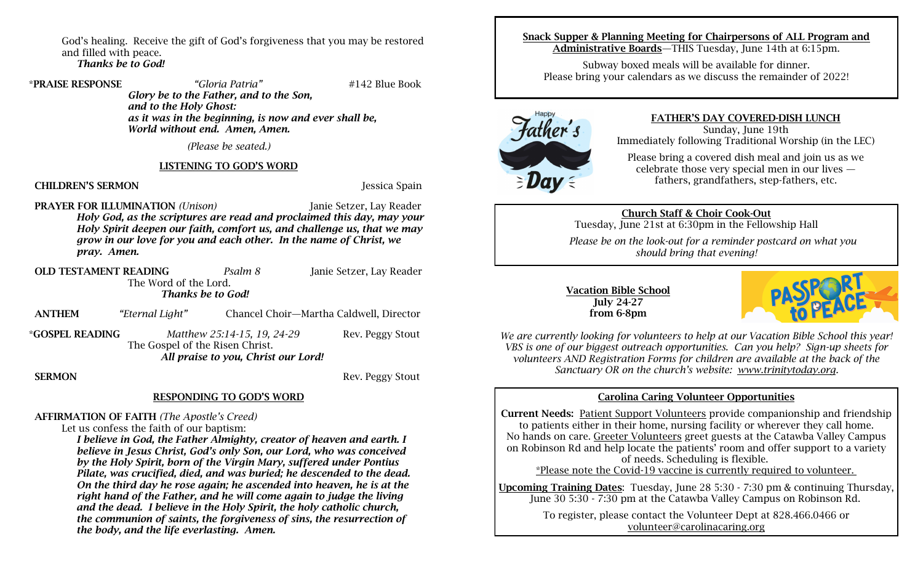God's healing. Receive the gift of God's forgiveness that you may be restored and filled with peace. *Thanks be to God!*

## \***PRAISE RESPONSE** *"Gloria Patria"* #142 Blue Book

*Glory be to the Father, and to the Son, and to the Holy Ghost: as it was in the beginning, is now and ever shall be, World without end. Amen, Amen.*

*(Please be seated.)*

### **LISTENING TO GOD'S WORD**

**CHILDREN'S SERMON Jessica Spain** 

**PRAYER FOR ILLUMINATION** *(Unison)* Janie Setzer, Lay Reader

 *Holy God, as the scriptures are read and proclaimed this day, may your Holy Spirit deepen our faith, comfort us, and challenge us, that we may grow in our love for you and each other. In the name of Christ, we pray. Amen.*

- **OLD TESTAMENT READING** *Psalm 8* Janie Setzer, Lay Reader The Word of the Lord. *Thanks be to God!*
- **ANTHEM** *"Eternal Light"* Chancel Choir—Martha Caldwell, Director

\***GOSPEL READING** *Matthew 25:14-15, 19, 24-29* Rev. Peggy Stout The Gospel of the Risen Christ. *All praise to you, Christ our Lord!*

**SERMON** Rev. Peggy Stout

### **RESPONDING TO GOD'S WORD**

### **AFFIRMATION OF FAITH** *(The Apostle's Creed)*

Let us confess the faith of our baptism:

 *I believe in God, the Father Almighty, creator of heaven and earth. I believe in Jesus Christ, God's only Son, our Lord, who was conceived by the Holy Spirit, born of the Virgin Mary, suffered under Pontius Pilate, was crucified, died, and was buried; he descended to the dead. On the third day he rose again; he ascended into heaven, he is at the right hand of the Father, and he will come again to judge the living and the dead. I believe in the Holy Spirit, the holy catholic church, the communion of saints, the forgiveness of sins, the resurrection of the body, and the life everlasting. Amen.* 

### **Snack Supper & Planning Meeting for Chairpersons of ALL Program and Administrative Boards**—THIS Tuesday, June 14th at 6:15pm.

Subway boxed meals will be available for dinner. Please bring your calendars as we discuss the remainder of 2022!



# **FATHER'S DAY COVERED-DISH LUNCH**

Sunday, June 19th Immediately following Traditional Worship (in the LEC)

Please bring a covered dish meal and join us as we celebrate those very special men in our lives fathers, grandfathers, step-fathers, etc.

# **Church Staff & Choir Cook-Out**

Tuesday, June 21st at 6:30pm in the Fellowship Hall

*Please be on the look-out for a reminder postcard on what you should bring that evening!*

**Vacation Bible School July 24-27 from 6-8pm**



*We are currently looking for volunteers to help at our Vacation Bible School this year! VBS is one of our biggest outreach opportunities. Can you help? Sign-up sheets for volunteers AND Registration Forms for children are available at the back of the Sanctuary OR on the church's website: www.trinitytoday.org.*

### **Carolina Caring Volunteer Opportunities**

**Current Needs:** Patient Support Volunteers provide companionship and friendship to patients either in their home, nursing facility or wherever they call home. No hands on care. Greeter Volunteers greet guests at the Catawba Valley Campus on Robinson Rd and help locate the patients' room and offer support to a variety of needs. Scheduling is flexible.

\*Please note the Covid-19 vaccine is currently required to volunteer.

**Upcoming Training Dates**: Tuesday, June 28 5:30 - 7:30 pm & continuing Thursday, June 30 5:30 - 7:30 pm at the Catawba Valley Campus on Robinson Rd.

> To register, please contact the Volunteer Dept at 828.466.0466 or [volunteer@carolinacaring.org](mailto:volunteer@carolinacaring.org)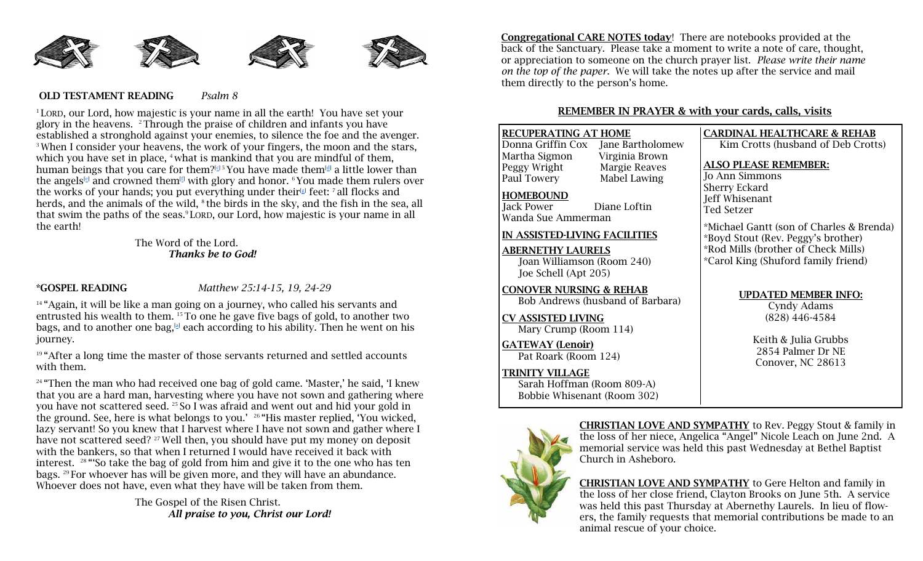

# **OLD TESTAMENT READING** *Psalm 8*

<sup>1</sup> LORD, our Lord, how majestic is your name in all the earth! You have set your glory in the heavens. 2Through the praise of children and infants you have established a stronghold against your enemies, to silence the foe and the avenger. <sup>3</sup> When I consider your heavens, the work of your fingers, the moon and the stars, which you have set in place, <sup>4</sup> what is mankind that you are mindful of them, human beings that you care for them? $\left[1\right]$ <sup>5</sup> You have made them $\left[0\right]$  a little lower than the angels<sup>[\[e\]](https://www.biblegateway.com/passage/?search=Psalm+8&version=NIV#fen-NIV-14018e)</sup> and crowned them<sup>[[f\]](https://www.biblegateway.com/passage/?search=Psalm+8&version=NIV#fen-NIV-14018f)</sup> with glory and honor. <sup>6</sup>You made them rulers over the works of your hands; you put everything under their<sup>[[g\]](https://www.biblegateway.com/passage/?search=Psalm+8&version=NIV#fen-NIV-14019g)</sup> feet: <sup>7</sup> all flocks and herds, and the animals of the wild,  $\delta$  the birds in the sky, and the fish in the sea, all that swim the paths of the seas.<sup>9</sup> LORD, our Lord, how majestic is your name in all the earth!

> The Word of the Lord. *Thanks be to God!*

**\*GOSPEL READING** *Matthew 25:14-15, 19, 24-29*

<sup>14</sup> "Again, it will be like a man going on a journey, who called his servants and entrusted his wealth to them. <sup>15</sup>To one he gave five bags of gold, to another two bags, and to another one bag, $[4]$  each according to his ability. Then he went on his journey.

<sup>19</sup> "After a long time the master of those servants returned and settled accounts with them.

 $24$  "Then the man who had received one bag of gold came. 'Master,' he said, 'I knew that you are a hard man, harvesting where you have not sown and gathering where you have not scattered seed. <sup>25</sup> So I was afraid and went out and hid your gold in the ground. See, here is what belongs to you.' <sup>26</sup> "His master replied, 'You wicked, lazy servant! So you knew that I harvest where I have not sown and gather where I have not scattered seed? <sup>27</sup> Well then, you should have put my money on deposit with the bankers, so that when I returned I would have received it back with interest. <sup>28</sup> "'So take the bag of gold from him and give it to the one who has ten bags. <sup>29</sup> For whoever has will be given more, and they will have an abundance. Whoever does not have, even what they have will be taken from them.

> The Gospel of the Risen Christ. *All praise to you, Christ our Lord!*

**Congregational CARE NOTES today**! There are notebooks provided at the back of the Sanctuary. Please take a moment to write a note of care, thought, or appreciation to someone on the church prayer list. *Please write their name on the top of the paper*. We will take the notes up after the service and mail them directly to the person's home.

# **REMEMBER IN PRAYER & with your cards, calls, visits**

**CARDINAL HEALTHCARE & REHAB** Kim Crotts (husband of Deb Crotts)

\*Michael Gantt (son of Charles & Brenda)

**UPDATED MEMBER INFO:** Cyndy Adams (828) 446-4584

> Keith & Julia Grubbs 2854 Palmer Dr NE Conover, NC 28613

\*Boyd Stout (Rev. Peggy's brother) \*Rod Mills (brother of Check Mills) \*Carol King (Shuford family friend)

**ALSO PLEASE REMEMBER:**

Jo Ann Simmons Sherry Eckard Jeff Whisenant Ted Setzer

# **RECUPERATING AT HOME**

### Donna Griffin Cox Jane Bartholomew Martha Sigmon Virginia Brown Peggy Wright Margie Reaves Paul Towery Mabel Lawing

## **HOMEBOUND**

Jack Power Diane Loftin Wanda Sue Ammerman

# **IN ASSISTED-LIVING FACILITIES**

**ABERNETHY LAURELS** Joan Williamson (Room 240) Joe Schell (Apt 205)

**CONOVER NURSING & REHAB** Bob Andrews (husband of Barbara)

### **CV ASSISTED LIVING** Mary Crump (Room 114)

**GATEWAY (Lenoir)** Pat Roark (Room 124)

# **TRINITY VILLAGE**

Sarah Hoffman (Room 809-A) Bobbie Whisenant (Room 302)



**CHRISTIAN LOVE AND SYMPATHY** to Rev. Peggy Stout & family in the loss of her niece, Angelica "Angel" Nicole Leach on June 2nd. A memorial service was held this past Wednesday at Bethel Baptist Church in Asheboro.

### **CHRISTIAN LOVE AND SYMPATHY** to Gere Helton and family in the loss of her close friend, Clayton Brooks on June 5th. A service was held this past Thursday at Abernethy Laurels. In lieu of flowers, the family requests that memorial contributions be made to an animal rescue of your choice.